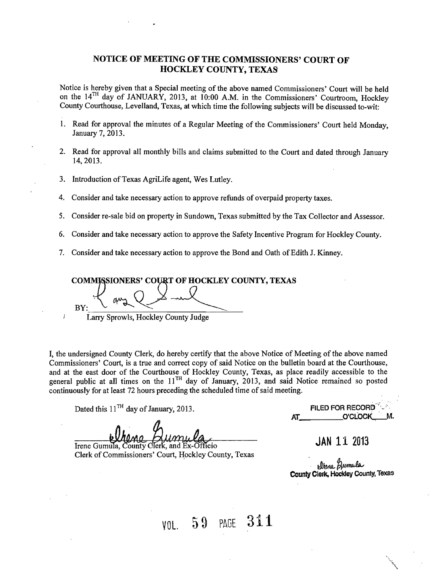#### NOTICE OF MEETING OF THE COMMISSIONERS' COURT OF HOCKLEY COUNTY, TEXAS

Notice is hereby given that a Special meeting of the above named Commissioners' Court will be held on the 14TH day of JANUARY, 2013, at 10;00 A.M. in the Commissioners' Courtroom, Hockley County Courthouse, Levelland, Texas, at which time the following subjects will be discussed to-wit:

- 1. Read for approval the minutes of a Regular Meeting of the Commissioners' Court held Monday, January 7,2013.
- 2. Read for approval all monthly bills and claims submitted to the Court and dated through January 14,2013.
- 3. Introduction of Texas AgriLife agent, Wes Lutley.
- 4. Consider and take necessary action to approve refunds of overpaid property taxes.
- 5. Consider re-sale bid on property in Sundown, Texas submitted by the Tax Collector and Assessor.
- 6. Consider and take necessary action to approve the Safety Incentive Program for Hockley County.
- 7. Consider and take necessary action to approve the Bond and Oath of Edith J. Kinney.

COMMISSIONERS' COURT OF HOCKLEY COUNTY, TEXAS  $B(Y: \frac{1}{2}$  and  $Q \times \frac{1}{2}$ Larry Sprowls, Hockley County Judge

I, the undersigned County Clerk, do hereby certify that the above Notice of Meeting of the above named Commissioners' Court, is a true and correct copy of said Notice on the bulletin board at the Courthouse, and at the east door of the Courthouse of Hockley County, Texas, as place readily accessible to the general public at all times on the 11<sup>TH</sup> day of January, 2013, and said Notice remained so posted continuously for at least 72 hours preceding the scheduled time of said meeting.

Dated this 11<sup>TH</sup> day of January, 2013. **FILED FOR RECORD** 

Irene Gumula, County Clerk, and Ex-Officio Clerk of Commissioners' Court, Hockley County, Texas AT O'CLOCK

**JAN** 11 2013

plene Bumula County Clerk. Hockley County, Texas

VOl. 59 PAGE 311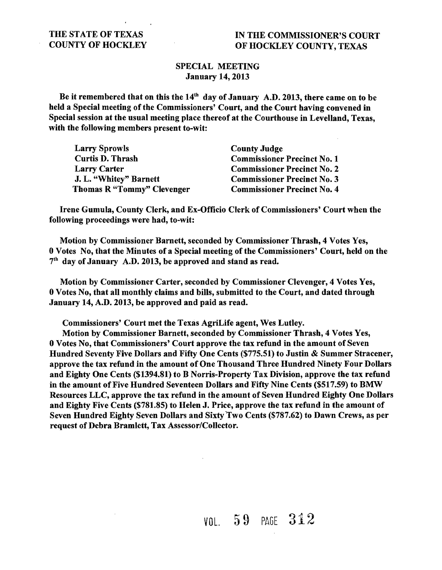#### SPECIAL MEETING January 14,2013

Be it remembered that on this the *14th* day of January A.D. 2013, there came on to be held a Special meeting of the Commissioners' Court, and the Court having convened in Special session at the usual meeting place thereof at the Courthouse in Levelland, Texas, with the following members present to-wit:

| <b>Larry Sprowls</b>       | <b>County Judge</b>                |  |  |
|----------------------------|------------------------------------|--|--|
| <b>Curtis D. Thrash</b>    | <b>Commissioner Precinct No. 1</b> |  |  |
| <b>Larry Carter</b>        | <b>Commissioner Precinct No. 2</b> |  |  |
| J. L. "Whitey" Barnett     | <b>Commissioner Precinct No. 3</b> |  |  |
| Thomas R "Tommy" Clevenger | <b>Commissioner Precinct No. 4</b> |  |  |

Irene Gumula, County Clerk, and Ex-Officio Clerk of Commissioners' Court when the following proceedings were had, to-wit:

Motion by Commissioner Barnett, seconded by Commissioner Thrash, 4 Votes Yes, 0 Votes No, that the Minutes of a Special meeting of the Commissioners' Court, held on the 7th day of January A.D. 2013, be approved and stand as read.

Motion by Commissioner Carter, seconded by Commissioner Clevenger, 4 Votes Yes, 0 Votes No, that all monthly claims and bills, submitted to the Court, and dated through January 14, A.D. 2013, be approved and paid as read.

Commissioners' Court met the Texas AgriLife agent, Wes Lutley.

Motion by Commissioner Barnett, seconded by Commissioner Thrash, 4 Votes Yes, 0 Votes No, that Commissioners' Court approve the tax refund in the amount of Seven Hundred Seventy Five Dollars and Fifty One Cents (\$775.51) to Justin & Summer Stracener, approve the tax refund in the amount of One Thousand Three Hundred Ninety Four Dollars and Eighty One Cents (\$1394.81) to B Norris-Property Tax Division, approve the tax refund in the amount of Five Hundred Seventeen Dollars and Fifty Nine Cents (\$517.59) to BMW Resources LLC, approve the tax refund in the amount of Seven Hundred Eighty One Dollars and Eighty Five Cents (\$781.85) to Helen J. Price, approve the tax refund in the amount of Seven Hundred Eighty Seven Dollars and Sixty 'Two Cents (\$787.62) to Dawn Crews, as per request of Debra Bramlett, Tax Assessor/Collector.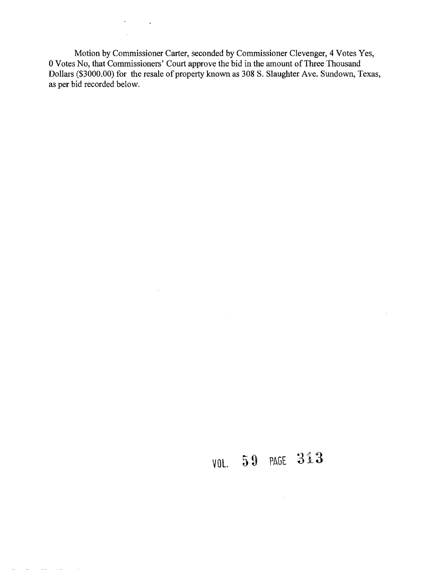Motion by Commissioner Carter, seconded by Commissioner Clevenger, 4 Votes Yes, 0 Votes No, that Commissioners' Court approve the bid in the amount of Three Thousand Dollars (\$3000.00) for the resale of property known as 308 S. Slaughter Ave. Sundown, Texas, as per bid recorded below.

 $\mathcal{L}^{\mathcal{L}}(\mathcal{L}^{\mathcal{L}})$  and  $\mathcal{L}^{\mathcal{L}}(\mathcal{L}^{\mathcal{L}})$  and  $\mathcal{L}^{\mathcal{L}}(\mathcal{L}^{\mathcal{L}})$ 

 $\mathcal{O}(\mathcal{O}(\log n))$  . The  $\mathcal{O}(\log n)$ 

 $\mathcal{L}^{\text{max}}_{\text{max}}$  , where  $\mathcal{L}^{\text{max}}_{\text{max}}$ 

 $\sim 10^{-1}$ 

# VOL. 59 PAGE 313

 $\mathcal{L}^{\text{max}}_{\text{max}}$  , where  $\mathcal{L}^{\text{max}}_{\text{max}}$ 

 $\sim$   $\sim$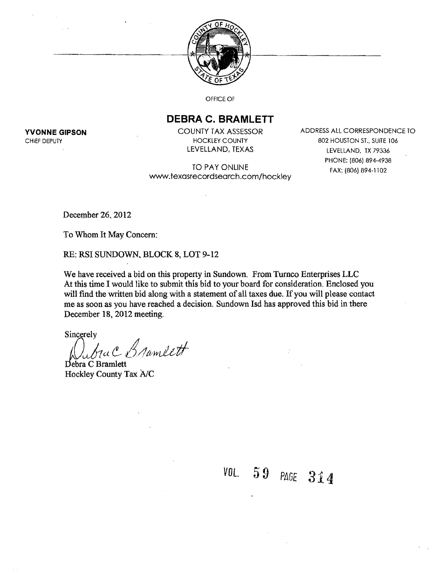

OFFICE OF

### **DEBRA C. BRAMLETT**

TO PAY ONLINE FAX: (806) 894-1102 WNw.texasrecordsearch.com/hockley

**YVONNE GIPSON** COUNTY TAX ASSESSOR ADDRESS ALL CORRESPONDENCE TO CHIEF DEPUTY **EXAMPLE 2008 THE STATE 106 STATE 106** HOCKLEY COUNTY **1008 STATE 106** STATE 106 LEVELLAND, TEXAS LEVELLAND, TX 79336 PHONE: (806) 894-4938

December 26, 2012

To Whom It May Concern:

RE: RSI SUNDOWN, BLOCK 8, LOT 9-12

We have received a bid on this property in Sundown. From Tumco Enterprises LLC At this time I would like to submit this bid to your board for consideration. Enclosed you will find the written bid along with a statement of all taxes due. If you will please contact me as soon as you have reached a decision. Sundown Isd has approved this bid in there December 18, 2012 meeting.

Sincerely

*U1a* e.- *L0/ltNyu/Lff*

Debra C Bramlett Hockley County Tax *AlC* 

*VOL.* 59 *PIlGE 314*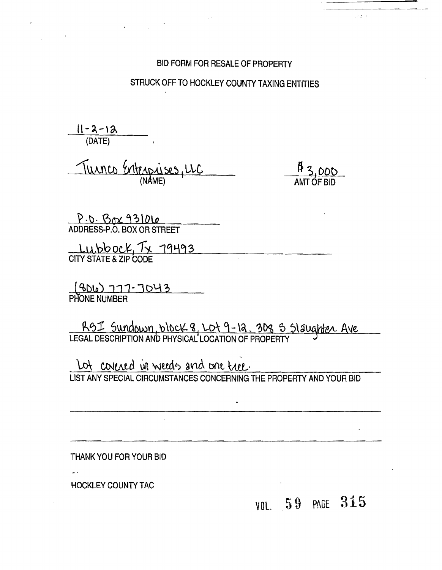#### BID FORM FOR RESALE OF PROPERTY

### STRUCK OFF TO HOCKLEY COUNTY TAXING ENTITIES

 $11 - 4 - 10$ (DATE)

Turnco Enterprises, LLC

<u>P3,000</u>

 $\mathcal{F}(\mathcal{E})$  .

P.D. Box 931010<br>ADDRESS-P.O. BOX OR STREET

LUIDUUCH IX 11712 CITY STATE & ZIP CODE

(BDLe) 777-7043

RGI Sundown, block 8, LOT 9-12. 308 5 Slaughter Ave

Lot covered in weeds and one tree. LIST ANY SPECIAL CIRCUMSTANCES CONCERNING THE PROPERTY AND YOUR BID

THANK YOU FOR YOUR BID

HOCKLEY COUNTY TAC

L.

VOL. 59 PAGE 315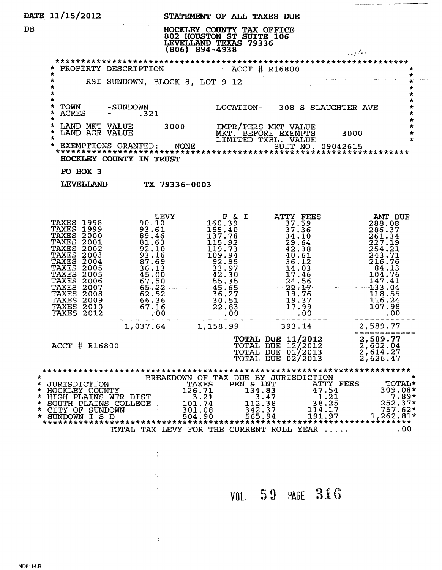|                  | DATE 11/15/2012                                                                                                             |                                                                                                                                                                                                                                                                                                                              | STATEMENT OF ALL TAXES DUE                                                  |                                                                                                                         |                                                                                                  |
|------------------|-----------------------------------------------------------------------------------------------------------------------------|------------------------------------------------------------------------------------------------------------------------------------------------------------------------------------------------------------------------------------------------------------------------------------------------------------------------------|-----------------------------------------------------------------------------|-------------------------------------------------------------------------------------------------------------------------|--------------------------------------------------------------------------------------------------|
| DB               |                                                                                                                             |                                                                                                                                                                                                                                                                                                                              | HOCKLEY COUNTY TAX OFFICE<br>802 HOUSTON ST SUITE 106<br>$(806) 894 - 4938$ |                                                                                                                         | a na kara                                                                                        |
|                  |                                                                                                                             | * PROPERTY DESCRIPTION                                                                                                                                                                                                                                                                                                       | $ACCT$ # R16800                                                             |                                                                                                                         | $\star$                                                                                          |
|                  | *<br>*<br>$\star$<br>$\star$                                                                                                | RSI SUNDOWN, BLOCK 8, LOT 9-12                                                                                                                                                                                                                                                                                               |                                                                             |                                                                                                                         | $\frac{1}{2}$<br>$\star$                                                                         |
|                  | $\star$<br>$\star$<br>$\star$<br>$\star$                                                                                    | TOWN -SUNDOWN LOCATION- 308 S SLAUGHTER AVE<br>ACRES - .321                                                                                                                                                                                                                                                                  |                                                                             |                                                                                                                         | $\star$                                                                                          |
|                  |                                                                                                                             |                                                                                                                                                                                                                                                                                                                              |                                                                             |                                                                                                                         | $\star$<br>$\star$                                                                               |
|                  |                                                                                                                             | HOCKLEY COUNTY IN TRUST                                                                                                                                                                                                                                                                                                      |                                                                             |                                                                                                                         |                                                                                                  |
|                  | PO BOX 3                                                                                                                    |                                                                                                                                                                                                                                                                                                                              |                                                                             |                                                                                                                         |                                                                                                  |
|                  |                                                                                                                             | LEVELLAND TX 79336-0003                                                                                                                                                                                                                                                                                                      |                                                                             |                                                                                                                         |                                                                                                  |
|                  |                                                                                                                             |                                                                                                                                                                                                                                                                                                                              |                                                                             |                                                                                                                         |                                                                                                  |
|                  |                                                                                                                             | $\begin{tabular}{l c c c c c} \textbf{TAXES} & 1998 & 0.10 & 160.39 & \textbf{ATTY FRES} & \textbf{ANT DUE} \\ \textbf{TAXES} & 1999 & 90.10 & 160.39 & 37.59 & 288.08 \\ \textbf{TAXES} & 1999 & 30.10 & 155.40 & 37.59 & 288.08 \\ \textbf{TAXES} & 2000 & 89.46 & 137.78 & 37.36 & 266.37 \\ \textbf{TAXES} & 2001 & 81.$ |                                                                             |                                                                                                                         | =======<br>=====                                                                                 |
|                  | ACCT # R16800                                                                                                               |                                                                                                                                                                                                                                                                                                                              | TOTAL DUE                                                                   | <b>TOTAL DUE 11/2012</b><br>TOTAL DUE 12/2012<br>TOTAL DUE 01/2013<br>02/2013                                           | 2,589.77<br>$\frac{7}{2}, \frac{602}{614}.27$<br>2, 626.47                                       |
| ★<br>*<br>*<br>÷ | <b>JURISDICTION</b><br>HOCKLEY COUNTY<br>* HIGH PLAINS WTR DIST<br>SOUTH PLAINS COLLEGE<br>CITY OF SUNDOWN<br>SUNDOWN I S D | 126.71<br>101.74<br>301.08<br>504.90<br>TOTAL TAX LEVY FOR THE CURRENT ROLL YEAR                                                                                                                                                                                                                                             | PEN & INT<br>TAXES<br>134.83<br>3.21<br>112.38<br>342.37<br>565.94          | BREAKDOWN OF TAX DUE BY JURISDICTION<br>ATTY FEES<br>47.54<br>1.21<br>3.47<br>38.25<br>114.17<br>191.97<br>************ | <b>TOTAL*</b><br>$309.08*$<br>7.89*<br>252.37*<br>$757.62*$<br>1,262.81*<br>*************<br>.00 |

VOL. 59 PAGE 316

 $\omega_{\rm c}$  , and

 $\label{eq:2.1} \frac{1}{\sqrt{2}}\int_{\mathbb{R}^3}\frac{1}{\sqrt{2}}\left(\frac{1}{\sqrt{2}}\right)^2\frac{1}{\sqrt{2}}\left(\frac{1}{\sqrt{2}}\right)^2\frac{1}{\sqrt{2}}\left(\frac{1}{\sqrt{2}}\right)^2.$ 

 $\sim 10^{11}$  km  $^{-1}$ 

 $\label{eq:2.1} \frac{1}{2} \int_{0}^{2\pi} \frac{1}{2} \, \mathrm{d} \mu \, \mathrm{d} \mu \, \mathrm{d} \mu \, \mathrm{d} \mu \, \mathrm{d} \mu \, \mathrm{d} \mu \, \mathrm{d} \mu \, \mathrm{d} \mu \, \mathrm{d} \mu \, \mathrm{d} \mu \, \mathrm{d} \mu \, \mathrm{d} \mu \, \mathrm{d} \mu \, \mathrm{d} \mu \, \mathrm{d} \mu \, \mathrm{d} \mu \, \mathrm{d} \mu \, \mathrm{d} \mu \, \mathrm{d} \mu \, \mathrm{d} \mu \, \mathrm{d}$ 

 $\hat{\mathcal{F}}_{\mathbf{v}}$ 

 $\mathcal{L}^{\text{max}}_{\text{max}}$ 

 $\sim 3\%$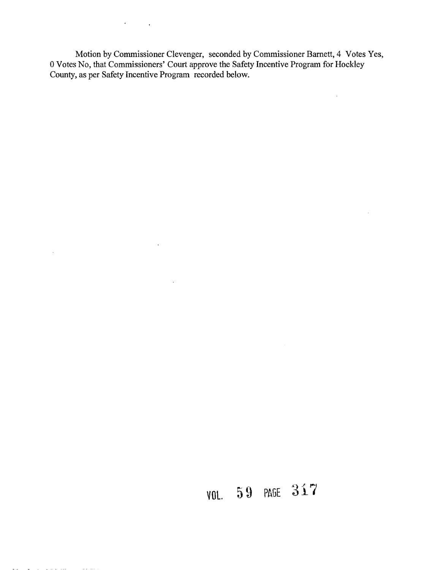Motion by Commissioner Clevenger, seconded by Commissioner Barnett, 4 Votes Yes, 0 Votes No, that Commissioners' Court approve the Safety Incentive Program for Hockley County, as per Safety Incentive Program recorded below.

 $\hat{\mathcal{A}}$ 

 $\bar{z}$ 

 $\mathcal{A}^{\text{max}}_{\text{max}}$  and  $\mathcal{A}^{\text{max}}_{\text{max}}$ 

 $\hat{\mathbf{r}}$ 

 $\ddot{\phantom{a}}$ 

 $\sim 10^7$ 

and the company of

 $\sim$ 

# **VOL.** 59 PAGE 317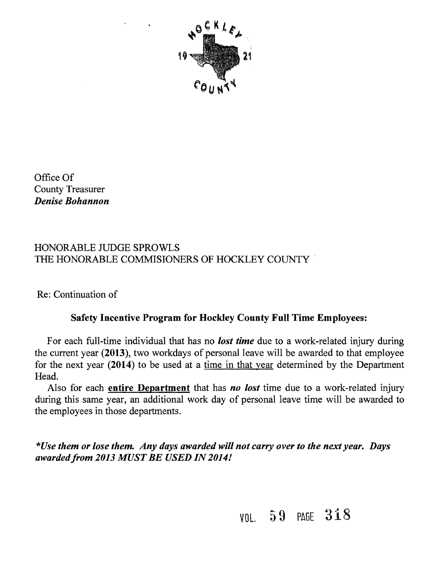

Office Of County Treasurer *Denise Bohannon* 

### HONORABLE JUDGE SPROWLS THE HONORABLE COMMISIONERS OF HOCKLEY COUNTY .

Re: Continuation of

## Safety Incentive Program for Hockley County Full Time Employees:

For each full-time individual that has no *lost time* due to a work-related injury during the current year (2013), two workdays of personal leave will be awarded to that employee for the next year (2014) to be used at a time in that year determined by the Department Head.

Also for each entire Department that has *no lost* time due to a work-related injury during this same year, an additional work day of personal leave time will be awarded to the employees in those departments.

*\*Use them or lose them. Any days awarded will not carryover to the next year. Days awarded/rom 2013 MUST BE USED IN 2014!* 

VOL. 59 PAGE 318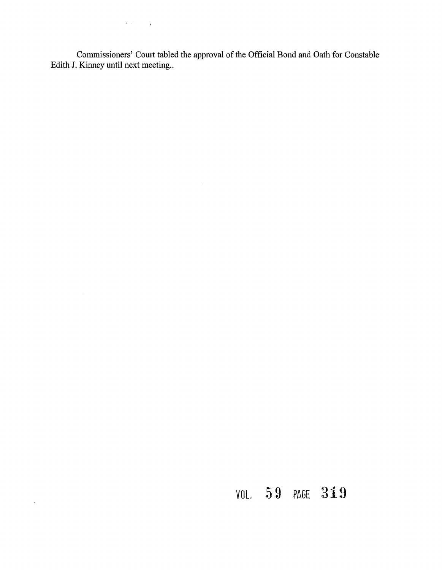$\label{eq:2.1} \frac{d\mathbf{r}}{d\mathbf{r}}\left(\mathbf{r}^{\prime}\right) = \frac{1}{\mathbf{r}}\left(\mathbf{r}^{\prime}\right)^{2} \mathbf{r}^{\prime} \left(\mathbf{r}^{\prime}\right) = \frac{1}{\mathbf{r}}\left(\mathbf{r}^{\prime}\right)^{2} \mathbf{r}^{\prime} \left(\mathbf{r}^{\prime}\right) = \frac{1}{\mathbf{r}}\left(\mathbf{r}^{\prime}\right)^{2} \mathbf{r}^{\prime} \left(\mathbf{r}^{\prime}\right) = \frac{1}{\mathbf{r}}\left(\mathbf{r}$ 

 $\sim$   $\sim$ 

 $\sim$ 

Commissioners' Court tabled the approval of the Official Bond and Oath for Constable Edith J. Kinney until next meeting..

# **VOl.** 59 PAGE **319**